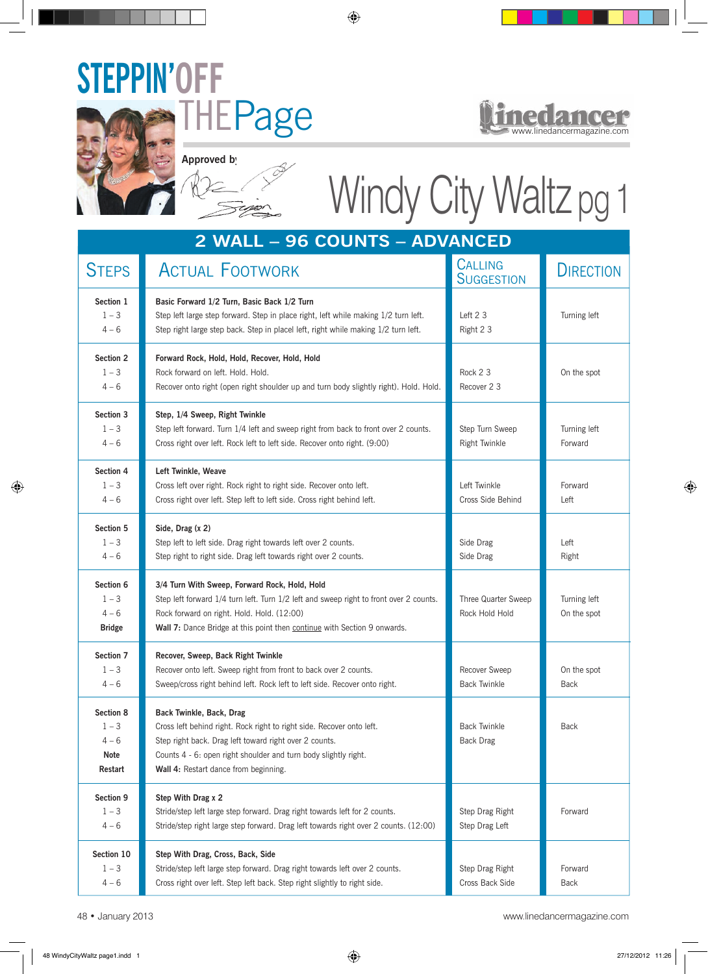



**Approved by:**

## [Windy City Waltz](http://www.linedancermagazine.com/windy-city-waltz.html) pg 1

| 2 WALL - 96 COUNTS - ADVANCED                      |                                                                                                                                                                                                                                                                         |                                         |                             |  |
|----------------------------------------------------|-------------------------------------------------------------------------------------------------------------------------------------------------------------------------------------------------------------------------------------------------------------------------|-----------------------------------------|-----------------------------|--|
| <b>STEPS</b>                                       | <b>ACTUAL FOOTWORK</b>                                                                                                                                                                                                                                                  | <b>CALLING</b><br><b>SUGGESTION</b>     | <b>DIRECTION</b>            |  |
| Section 1<br>$1 - 3$<br>$4 - 6$                    | Basic Forward 1/2 Turn, Basic Back 1/2 Turn<br>Step left large step forward. Step in place right, left while making 1/2 turn left.<br>Step right large step back. Step in placel left, right while making 1/2 turn left.                                                | Left 2 3<br>Right 2 3                   | Turning left                |  |
| Section 2<br>$1 - 3$<br>$4 - 6$                    | Forward Rock, Hold, Hold, Recover, Hold, Hold<br>Rock forward on left. Hold. Hold.<br>Recover onto right (open right shoulder up and turn body slightly right). Hold. Hold.                                                                                             | Rock 2 3<br>Recover 2 3                 | On the spot                 |  |
| Section 3<br>$1 - 3$<br>$4 - 6$                    | Step, 1/4 Sweep, Right Twinkle<br>Step left forward. Turn 1/4 left and sweep right from back to front over 2 counts.<br>Cross right over left. Rock left to left side. Recover onto right. (9:00)                                                                       | Step Turn Sweep<br>Right Twinkle        | Turning left<br>Forward     |  |
| Section 4<br>$1 - 3$<br>$4 - 6$                    | Left Twinkle, Weave<br>Cross left over right. Rock right to right side. Recover onto left.<br>Cross right over left. Step left to left side. Cross right behind left.                                                                                                   | Left Twinkle<br>Cross Side Behind       | Forward<br>Left             |  |
| Section 5<br>$1 - 3$<br>$4 - 6$                    | Side, Drag (x 2)<br>Step left to left side. Drag right towards left over 2 counts.<br>Step right to right side. Drag left towards right over 2 counts.                                                                                                                  | Side Drag<br>Side Drag                  | Left<br>Right               |  |
| Section 6<br>$1 - 3$<br>$4 - 6$<br><b>Bridge</b>   | 3/4 Turn With Sweep, Forward Rock, Hold, Hold<br>Step left forward 1/4 turn left. Turn 1/2 left and sweep right to front over 2 counts.<br>Rock forward on right. Hold. Hold. (12:00)<br>Wall 7: Dance Bridge at this point then continue with Section 9 onwards.       | Three Quarter Sweep<br>Rock Hold Hold   | Turning left<br>On the spot |  |
| Section 7<br>$1 - 3$<br>$4 - 6$                    | Recover, Sweep, Back Right Twinkle<br>Recover onto left. Sweep right from front to back over 2 counts.<br>Sweep/cross right behind left. Rock left to left side. Recover onto right.                                                                                    | Recover Sweep<br><b>Back Twinkle</b>    | On the spot<br>Back         |  |
| Section 8<br>$1 - 3$<br>$4 - 6$<br>Note<br>Restart | Back Twinkle, Back, Drag<br>Cross left behind right. Rock right to right side. Recover onto left.<br>Step right back. Drag left toward right over 2 counts.<br>Counts 4 - 6: open right shoulder and turn body slightly right.<br>Wall 4: Restart dance from beginning. | <b>Back Twinkle</b><br><b>Back Drag</b> | Back                        |  |
| Section 9<br>$1 - 3$<br>$4 - 6$                    | Step With Drag x 2<br>Stride/step left large step forward. Drag right towards left for 2 counts.<br>Stride/step right large step forward. Drag left towards right over 2 counts. (12:00)                                                                                | Step Drag Right<br>Step Drag Left       | Forward                     |  |
| Section 10<br>$1 - 3$<br>$4 - 6$                   | Step With Drag, Cross, Back, Side<br>Stride/step left large step forward. Drag right towards left over 2 counts.<br>Cross right over left. Step left back. Step right slightly to right side.                                                                           | Step Drag Right<br>Cross Back Side      | Forward<br>Back             |  |